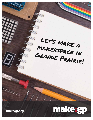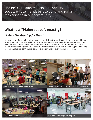*The Peace Region Makerspace Society is a non-profit society whose mandate is to build and run a Makerspace in our community.*

## **What is a "Makerspace", exactly?**

## *"A Gym Membership for Tools"*

"A makerspace [also called a Hackspace] is a collaborative work space inside a school, library or separate public/private facility for making, learning, exploring and sharing that uses high tech to no tech tools. These spaces are open to kids, adults, and entrepreneurs and have a variety of maker equipment including 3D printers, laser cutters, cnc machines, [woodworking machines, electronics (Arduino, etc),] soldering irons and even sewing machines."





New York Hall of Science Makerspace **Gelardin New Media Centre's Pop-up Makerspace** 





Rochester Makerspace **Harvey Mudd College Makerspace**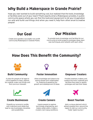# **Why Build a Makerspace in Grande Prairie?**

Have you ever wanted to build something cool, but realized that the tools, knowledge or facilities were out of your reach? That's exactly what a Makerspace provides. A public community space where you can find the tools and equipment to let your imagination run wild and build cool things. And when you need it, help from other smart & creative people!



Create and operate a successful non-profit community Makerspace in Grande Prairie.

**Our Mission**

To provide tools, knowledge, and facilities for our community to build projects, prototype ideas, learn new techniques, and network with each other.

# **How Does This Benefit the Community?**



#### **Build Community**

A place for people of all ages to come together to learn, explore, be creative, make cool things, and find common interests.



#### **Foster Innovation**

Allow knowledge and ideas to be openly shared and collaborated on, fostering & speeding the growth and development of ideas.



#### **Empower Creators**

Provide inventors, makers, and creators the tools, materials and facilities they need to rapidly prototype and test their ideas.





Diversify our economic profile with inventions and ideas that lead to new businesses, industries and possibilities.



#### **Create Careers**

Inspire people to explore technology, engineering, and trades career paths. Create a modern, tech-savvy workforce.



#### **Boost Tourism**

Add a unique element which attracts people from around the region to visit our community. Foster "geek tourism."